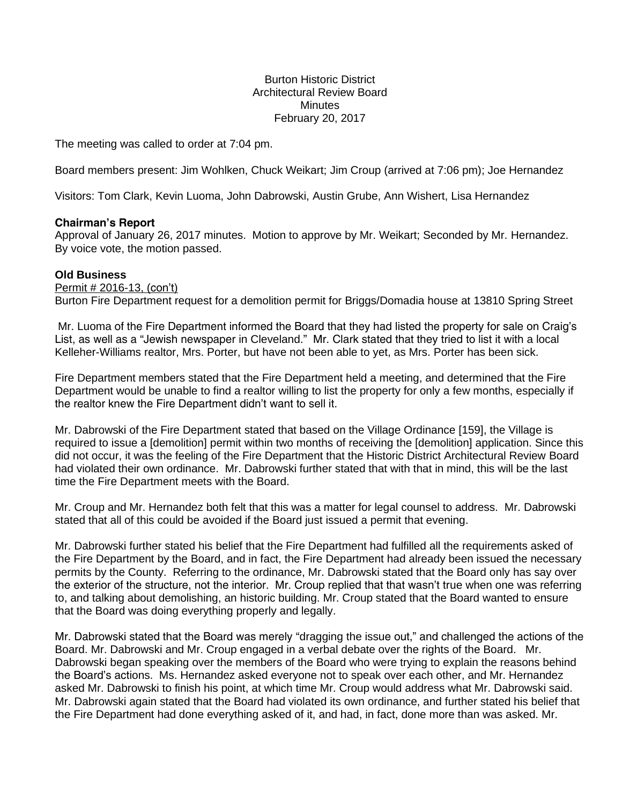## Burton Historic District Architectural Review Board **Minutes** February 20, 2017

The meeting was called to order at 7:04 pm.

Board members present: Jim Wohlken, Chuck Weikart; Jim Croup (arrived at 7:06 pm); Joe Hernandez

Visitors: Tom Clark, Kevin Luoma, John Dabrowski, Austin Grube, Ann Wishert, Lisa Hernandez

## **Chairman's Report**

Approval of January 26, 2017 minutes. Motion to approve by Mr. Weikart; Seconded by Mr. Hernandez. By voice vote, the motion passed.

## **Old Business**

Permit # 2016-13, (con't) Burton Fire Department request for a demolition permit for Briggs/Domadia house at 13810 Spring Street

Mr. Luoma of the Fire Department informed the Board that they had listed the property for sale on Craig's List, as well as a "Jewish newspaper in Cleveland." Mr. Clark stated that they tried to list it with a local Kelleher-Williams realtor, Mrs. Porter, but have not been able to yet, as Mrs. Porter has been sick.

Fire Department members stated that the Fire Department held a meeting, and determined that the Fire Department would be unable to find a realtor willing to list the property for only a few months, especially if the realtor knew the Fire Department didn't want to sell it.

Mr. Dabrowski of the Fire Department stated that based on the Village Ordinance [159], the Village is required to issue a [demolition] permit within two months of receiving the [demolition] application. Since this did not occur, it was the feeling of the Fire Department that the Historic District Architectural Review Board had violated their own ordinance. Mr. Dabrowski further stated that with that in mind, this will be the last time the Fire Department meets with the Board.

Mr. Croup and Mr. Hernandez both felt that this was a matter for legal counsel to address. Mr. Dabrowski stated that all of this could be avoided if the Board just issued a permit that evening.

Mr. Dabrowski further stated his belief that the Fire Department had fulfilled all the requirements asked of the Fire Department by the Board, and in fact, the Fire Department had already been issued the necessary permits by the County. Referring to the ordinance, Mr. Dabrowski stated that the Board only has say over the exterior of the structure, not the interior. Mr. Croup replied that that wasn't true when one was referring to, and talking about demolishing, an historic building. Mr. Croup stated that the Board wanted to ensure that the Board was doing everything properly and legally.

Mr. Dabrowski stated that the Board was merely "dragging the issue out," and challenged the actions of the Board. Mr. Dabrowski and Mr. Croup engaged in a verbal debate over the rights of the Board. Mr. Dabrowski began speaking over the members of the Board who were trying to explain the reasons behind the Board's actions. Ms. Hernandez asked everyone not to speak over each other, and Mr. Hernandez asked Mr. Dabrowski to finish his point, at which time Mr. Croup would address what Mr. Dabrowski said. Mr. Dabrowski again stated that the Board had violated its own ordinance, and further stated his belief that the Fire Department had done everything asked of it, and had, in fact, done more than was asked. Mr.